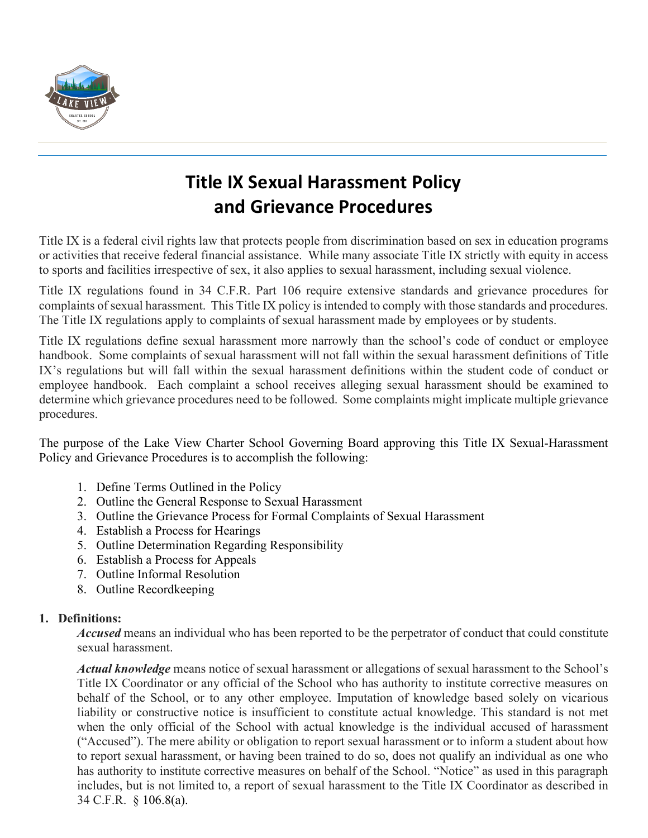

# **Title IX Sexual Harassment Policy and Grievance Procedures**

Title IX is a federal civil rights law that protects people from discrimination based on sex in education programs or activities that receive federal financial assistance. While many associate Title IX strictly with equity in access to sports and facilities irrespective of sex, it also applies to sexual harassment, including sexual violence.

Title IX regulations found in 34 C.F.R. Part 106 require extensive standards and grievance procedures for complaints of sexual harassment. This Title IX policy is intended to comply with those standards and procedures. The Title IX regulations apply to complaints of sexual harassment made by employees or by students.

Title IX regulations define sexual harassment more narrowly than the school's code of conduct or employee handbook. Some complaints of sexual harassment will not fall within the sexual harassment definitions of Title IX's regulations but will fall within the sexual harassment definitions within the student code of conduct or employee handbook. Each complaint a school receives alleging sexual harassment should be examined to determine which grievance procedures need to be followed. Some complaints might implicate multiple grievance procedures.

The purpose of the Lake View Charter School Governing Board approving this Title IX Sexual-Harassment Policy and Grievance Procedures is to accomplish the following:

- 1. Define Terms Outlined in the Policy
- 2. Outline the General Response to Sexual Harassment
- 3. Outline the Grievance Process for Formal Complaints of Sexual Harassment
- 4. Establish a Process for Hearings
- 5. Outline Determination Regarding Responsibility
- 6. Establish a Process for Appeals
- 7. Outline Informal Resolution
- 8. Outline Recordkeeping

## **1. Definitions:**

*Accused* means an individual who has been reported to be the perpetrator of conduct that could constitute sexual harassment.

*Actual knowledge* means notice of sexual harassment or allegations of sexual harassment to the School's Title IX Coordinator or any official of the School who has authority to institute corrective measures on behalf of the School, or to any other employee. Imputation of knowledge based solely on vicarious liability or constructive notice is insufficient to constitute actual knowledge. This standard is not met when the only official of the School with actual knowledge is the individual accused of harassment ("Accused"). The mere ability or obligation to report sexual harassment or to inform a student about how to report sexual harassment, or having been trained to do so, does not qualify an individual as one who has authority to institute corrective measures on behalf of the School. "Notice" as used in this paragraph includes, but is not limited to, a report of sexual harassment to the Title IX Coordinator as described in 34 C.F.R. § 106.8(a).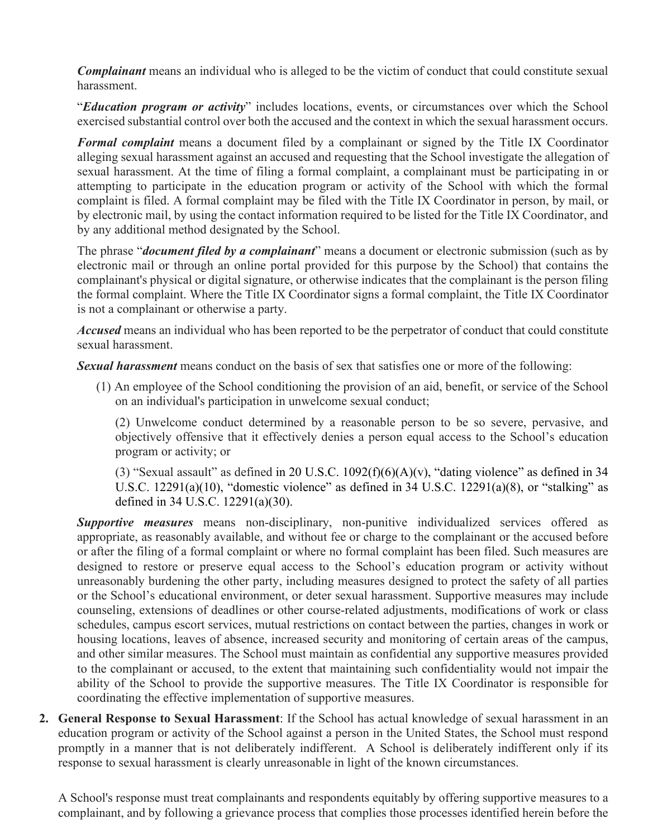*Complainant* means an individual who is alleged to be the victim of conduct that could constitute sexual harassment.

"*Education program or activity*" includes locations, events, or circumstances over which the School exercised substantial control over both the accused and the context in which the sexual harassment occurs.

*Formal complaint* means a document filed by a complainant or signed by the Title IX Coordinator alleging sexual harassment against an accused and requesting that the School investigate the allegation of sexual harassment. At the time of filing a formal complaint, a complainant must be participating in or attempting to participate in the education program or activity of the School with which the formal complaint is filed. A formal complaint may be filed with the Title IX Coordinator in person, by mail, or by electronic mail, by using the contact information required to be listed for the Title IX Coordinator, and by any additional method designated by the School.

The phrase "*document filed by a complainant*" means a document or electronic submission (such as by electronic mail or through an online portal provided for this purpose by the School) that contains the complainant's physical or digital signature, or otherwise indicates that the complainant is the person filing the formal complaint. Where the Title IX Coordinator signs a formal complaint, the Title IX Coordinator is not a complainant or otherwise a party.

*Accused* means an individual who has been reported to be the perpetrator of conduct that could constitute sexual harassment.

*Sexual harassment* means conduct on the basis of sex that satisfies one or more of the following:

(1) An employee of the School conditioning the provision of an aid, benefit, or service of the School on an individual's participation in unwelcome sexual conduct;

(2) Unwelcome conduct determined by a reasonable person to be so severe, pervasive, and objectively offensive that it effectively denies a person equal access to the School's education program or activity; or

(3) "Sexual assault" as defined in 20 U.S.C.  $1092(f)(6)(A)(v)$ , "dating violence" as defined in 34 U.S.C. 12291(a)(10), "domestic violence" as defined in 34 U.S.C. 12291(a)(8), or "stalking" as defined in 34 U.S.C. 12291(a)(30).

*Supportive measures* means non-disciplinary, non-punitive individualized services offered as appropriate, as reasonably available, and without fee or charge to the complainant or the accused before or after the filing of a formal complaint or where no formal complaint has been filed. Such measures are designed to restore or preserve equal access to the School's education program or activity without unreasonably burdening the other party, including measures designed to protect the safety of all parties or the School's educational environment, or deter sexual harassment. Supportive measures may include counseling, extensions of deadlines or other course-related adjustments, modifications of work or class schedules, campus escort services, mutual restrictions on contact between the parties, changes in work or housing locations, leaves of absence, increased security and monitoring of certain areas of the campus, and other similar measures. The School must maintain as confidential any supportive measures provided to the complainant or accused, to the extent that maintaining such confidentiality would not impair the ability of the School to provide the supportive measures. The Title IX Coordinator is responsible for coordinating the effective implementation of supportive measures.

**2. General Response to Sexual Harassment**: If the School has actual knowledge of sexual harassment in an education program or activity of the School against a person in the United States, the School must respond promptly in a manner that is not deliberately indifferent. A School is deliberately indifferent only if its response to sexual harassment is clearly unreasonable in light of the known circumstances.

A School's response must treat complainants and respondents equitably by offering supportive measures to a complainant, and by following a grievance process that complies those processes identified herein before the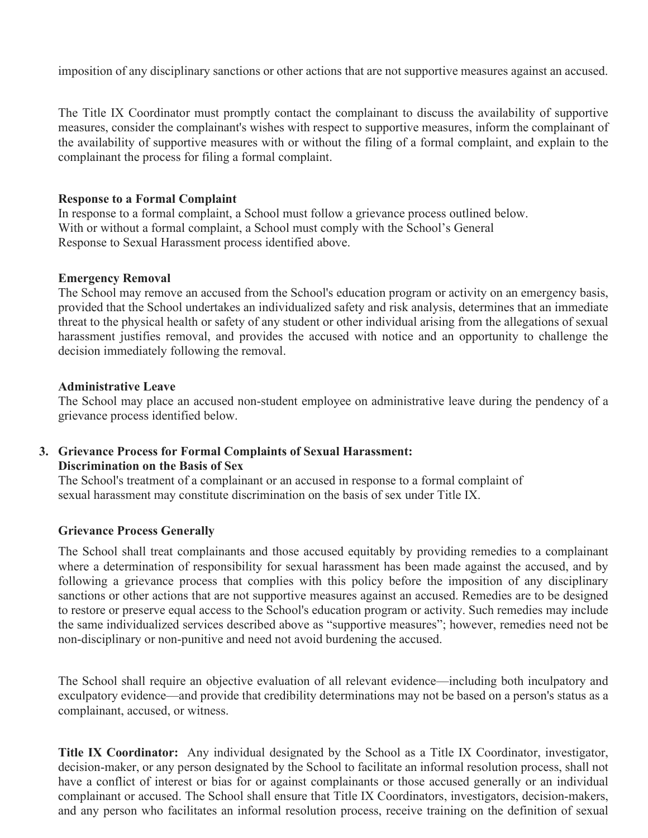imposition of any disciplinary sanctions or other actions that are not supportive measures against an accused.

The Title IX Coordinator must promptly contact the complainant to discuss the availability of supportive measures, consider the complainant's wishes with respect to supportive measures, inform the complainant of the availability of supportive measures with or without the filing of a formal complaint, and explain to the complainant the process for filing a formal complaint.

#### **Response to a Formal Complaint**

In response to a formal complaint, a School must follow a grievance process outlined below. With or without a formal complaint, a School must comply with the School's General Response to Sexual Harassment process identified above.

#### **Emergency Removal**

The School may remove an accused from the School's education program or activity on an emergency basis, provided that the School undertakes an individualized safety and risk analysis, determines that an immediate threat to the physical health or safety of any student or other individual arising from the allegations of sexual harassment justifies removal, and provides the accused with notice and an opportunity to challenge the decision immediately following the removal.

#### **Administrative Leave**

The School may place an accused non-student employee on administrative leave during the pendency of a grievance process identified below.

#### **3. Grievance Process for Formal Complaints of Sexual Harassment: Discrimination on the Basis of Sex**

The School's treatment of a complainant or an accused in response to a formal complaint of sexual harassment may constitute discrimination on the basis of sex under Title IX.

#### **Grievance Process Generally**

The School shall treat complainants and those accused equitably by providing remedies to a complainant where a determination of responsibility for sexual harassment has been made against the accused, and by following a grievance process that complies with this policy before the imposition of any disciplinary sanctions or other actions that are not supportive measures against an accused. Remedies are to be designed to restore or preserve equal access to the School's education program or activity. Such remedies may include the same individualized services described above as "supportive measures"; however, remedies need not be non-disciplinary or non-punitive and need not avoid burdening the accused.

The School shall require an objective evaluation of all relevant evidence—including both inculpatory and exculpatory evidence—and provide that credibility determinations may not be based on a person's status as a complainant, accused, or witness.

**Title IX Coordinator:** Any individual designated by the School as a Title IX Coordinator, investigator, decision-maker, or any person designated by the School to facilitate an informal resolution process, shall not have a conflict of interest or bias for or against complainants or those accused generally or an individual complainant or accused. The School shall ensure that Title IX Coordinators, investigators, decision-makers, and any person who facilitates an informal resolution process, receive training on the definition of sexual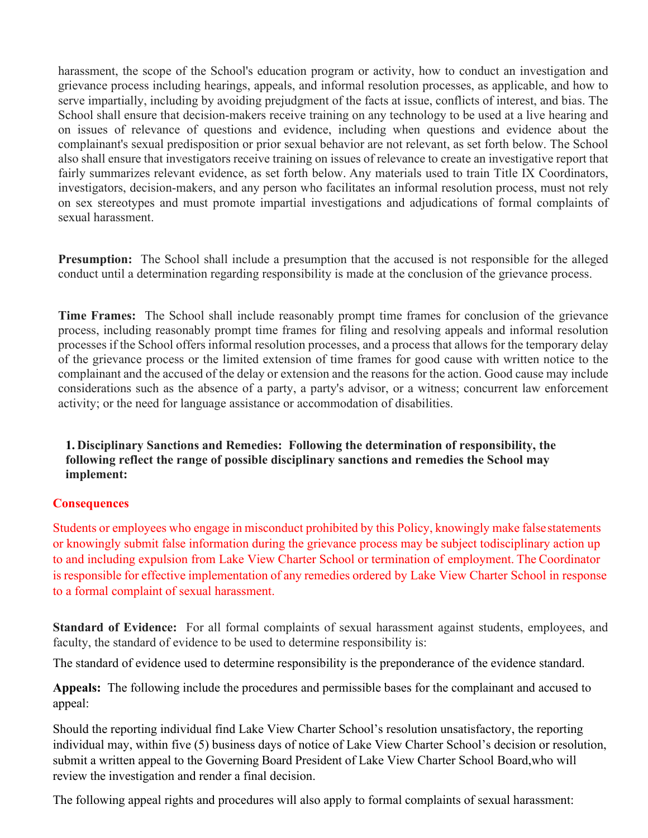harassment, the scope of the School's education program or activity, how to conduct an investigation and grievance process including hearings, appeals, and informal resolution processes, as applicable, and how to serve impartially, including by avoiding prejudgment of the facts at issue, conflicts of interest, and bias. The School shall ensure that decision-makers receive training on any technology to be used at a live hearing and on issues of relevance of questions and evidence, including when questions and evidence about the complainant's sexual predisposition or prior sexual behavior are not relevant, as set forth below. The School also shall ensure that investigators receive training on issues of relevance to create an investigative report that fairly summarizes relevant evidence, as set forth below. Any materials used to train Title IX Coordinators, investigators, decision-makers, and any person who facilitates an informal resolution process, must not rely on sex stereotypes and must promote impartial investigations and adjudications of formal complaints of sexual harassment.

**Presumption:** The School shall include a presumption that the accused is not responsible for the alleged conduct until a determination regarding responsibility is made at the conclusion of the grievance process.

**Time Frames:** The School shall include reasonably prompt time frames for conclusion of the grievance process, including reasonably prompt time frames for filing and resolving appeals and informal resolution processes if the School offers informal resolution processes, and a process that allows for the temporary delay of the grievance process or the limited extension of time frames for good cause with written notice to the complainant and the accused of the delay or extension and the reasons for the action. Good cause may include considerations such as the absence of a party, a party's advisor, or a witness; concurrent law enforcement activity; or the need for language assistance or accommodation of disabilities.

**1. Disciplinary Sanctions and Remedies: Following the determination of responsibility, the following reflect the range of possible disciplinary sanctions and remedies the School may implement:**

## **Consequences**

Students or employees who engage in misconduct prohibited by this Policy, knowingly make false statements or knowingly submit false information during the grievance process may be subject to disciplinary action up to and including expulsion from Lake View Charter School or termination of employment. The Coordinator is responsible for effective implementation of any remedies ordered by Lake View Charter School in response to a formal complaint of sexual harassment.

**Standard of Evidence:** For all formal complaints of sexual harassment against students, employees, and faculty, the standard of evidence to be used to determine responsibility is:

The standard of evidence used to determine responsibility is the preponderance of the evidence standard.

**Appeals:** The following include the procedures and permissible bases for the complainant and accused to appeal:

Should the reporting individual find Lake View Charter School's resolution unsatisfactory, the reporting individual may, within five (5) business days of notice of Lake View Charter School's decision or resolution, submit a written appeal to the Governing Board President of Lake View Charter School Board, who will review the investigation and render a final decision.

The following appeal rights and procedures will also apply to formal complaints of sexual harassment: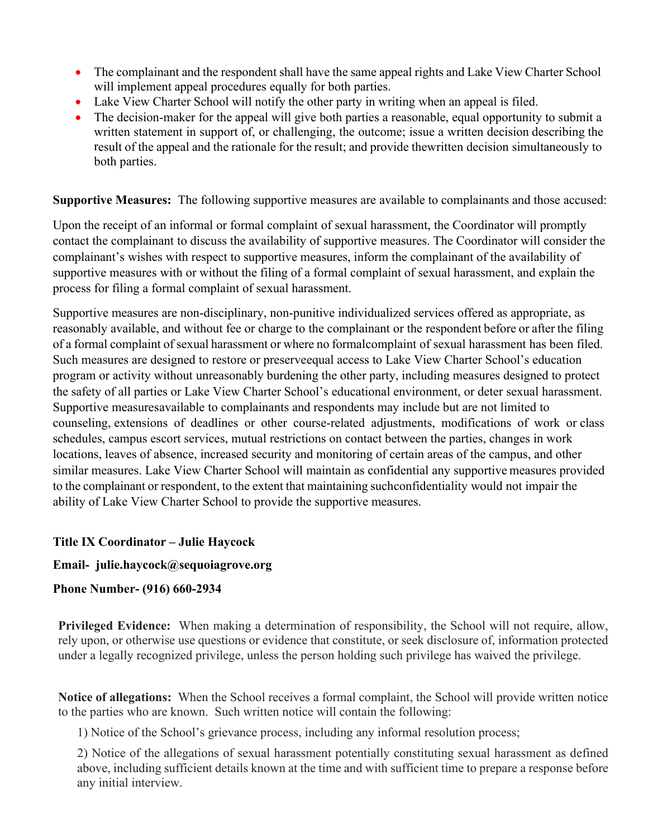- The complainant and the respondent shall have the same appeal rights and Lake View Charter School will implement appeal procedures equally for both parties.
- Lake View Charter School will notify the other party in writing when an appeal is filed.
- The decision-maker for the appeal will give both parties a reasonable, equal opportunity to submit a written statement in support of, or challenging, the outcome; issue a written decision describing the result of the appeal and the rationale for the result; and provide the written decision simultaneously to both parties.

**Supportive Measures:** The following supportive measures are available to complainants and those accused:

Upon the receipt of an informal or formal complaint of sexual harassment, the Coordinator will promptly contact the complainant to discuss the availability of supportive measures. The Coordinator will consider the complainant's wishes with respect to supportive measures, inform the complainant of the availability of supportive measures with or without the filing of a formal complaint of sexual harassment, and explain the process for filing a formal complaint of sexual harassment.

Supportive measures are non-disciplinary, non-punitive individualized services offered as appropriate, as reasonably available, and without fee or charge to the complainant or the respondent before or after the filing of a formal complaint of sexual harassment or where no formalcomplaint of sexual harassment has been filed. Such measures are designed to restore or preserveequal access to Lake View Charter School's education program or activity without unreasonably burdening the other party, including measures designed to protect the safety of all parties or Lake View Charter School's educational environment, or deter sexual harassment. Supportive measures available to complainants and respondents may include but are not limited to counseling, extensions of deadlines or other course-related adjustments, modifications of work or class schedules, campus escort services, mutual restrictions on contact between the parties, changes in work locations, leaves of absence, increased security and monitoring of certain areas of the campus, and other similar measures. Lake View Charter School will maintain as confidential any supportive measures provided to the complainant or respondent, to the extent that maintaining suchconfidentiality would not impair the ability of Lake View Charter School to provide the supportive measures.

## **Title IX Coordinator – Julie Haycock**

#### **Email- [julie.haycock@sequoiagrove.org](mailto:julie.haycock@lakeviewcharter.org)**

## **Phone Number- (916) 660-2934**

**Privileged Evidence:** When making a determination of responsibility, the School will not require, allow, rely upon, or otherwise use questions or evidence that constitute, or seek disclosure of, information protected under a legally recognized privilege, unless the person holding such privilege has waived the privilege.

**Notice of allegations:** When the School receives a formal complaint, the School will provide written notice to the parties who are known. Such written notice will contain the following:

1) Notice of the School's grievance process, including any informal resolution process;

2) Notice of the allegations of sexual harassment potentially constituting sexual harassment as defined above, including sufficient details known at the time and with sufficient time to prepare a response before any initial interview.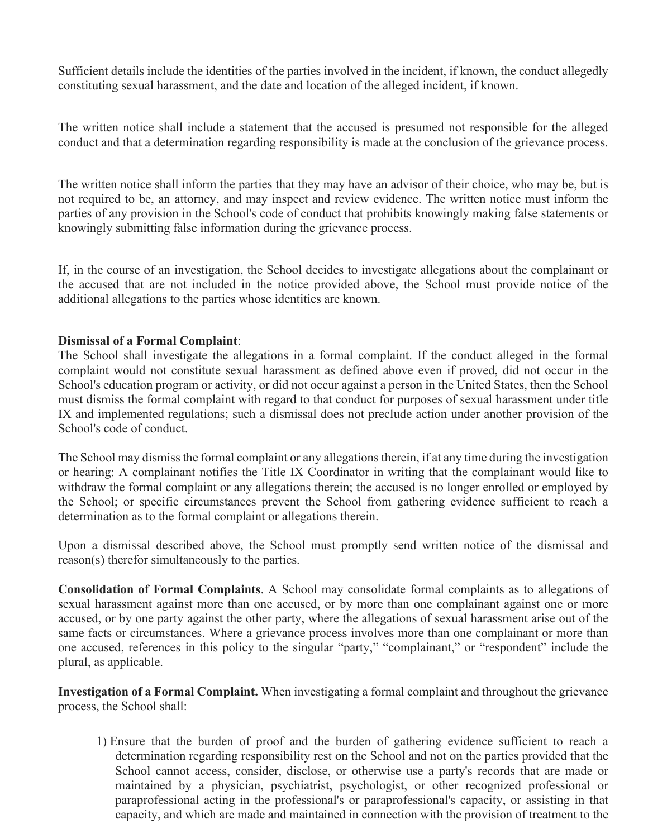Sufficient details include the identities of the parties involved in the incident, if known, the conduct allegedly constituting sexual harassment, and the date and location of the alleged incident, if known.

The written notice shall include a statement that the accused is presumed not responsible for the alleged conduct and that a determination regarding responsibility is made at the conclusion of the grievance process.

The written notice shall inform the parties that they may have an advisor of their choice, who may be, but is not required to be, an attorney, and may inspect and review evidence. The written notice must inform the parties of any provision in the School's code of conduct that prohibits knowingly making false statements or knowingly submitting false information during the grievance process.

If, in the course of an investigation, the School decides to investigate allegations about the complainant or the accused that are not included in the notice provided above, the School must provide notice of the additional allegations to the parties whose identities are known.

#### **Dismissal of a Formal Complaint**:

The School shall investigate the allegations in a formal complaint. If the conduct alleged in the formal complaint would not constitute sexual harassment as defined above even if proved, did not occur in the School's education program or activity, or did not occur against a person in the United States, then the School must dismiss the formal complaint with regard to that conduct for purposes of sexual harassment under title IX and implemented regulations; such a dismissal does not preclude action under another provision of the School's code of conduct.

The School may dismiss the formal complaint or any allegations therein, if at any time during the investigation or hearing: A complainant notifies the Title IX Coordinator in writing that the complainant would like to withdraw the formal complaint or any allegations therein; the accused is no longer enrolled or employed by the School; or specific circumstances prevent the School from gathering evidence sufficient to reach a determination as to the formal complaint or allegations therein.

Upon a dismissal described above, the School must promptly send written notice of the dismissal and reason(s) therefor simultaneously to the parties.

**Consolidation of Formal Complaints**. A School may consolidate formal complaints as to allegations of sexual harassment against more than one accused, or by more than one complainant against one or more accused, or by one party against the other party, where the allegations of sexual harassment arise out of the same facts or circumstances. Where a grievance process involves more than one complainant or more than one accused, references in this policy to the singular "party," "complainant," or "respondent" include the plural, as applicable.

**Investigation of a Formal Complaint.** When investigating a formal complaint and throughout the grievance process, the School shall:

1) Ensure that the burden of proof and the burden of gathering evidence sufficient to reach a determination regarding responsibility rest on the School and not on the parties provided that the School cannot access, consider, disclose, or otherwise use a party's records that are made or maintained by a physician, psychiatrist, psychologist, or other recognized professional or paraprofessional acting in the professional's or paraprofessional's capacity, or assisting in that capacity, and which are made and maintained in connection with the provision of treatment to the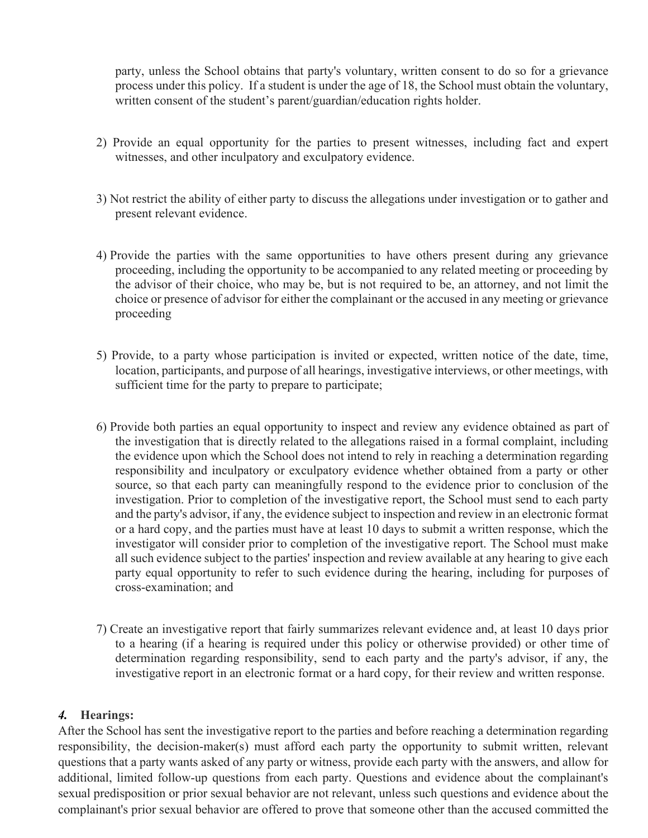party, unless the School obtains that party's voluntary, written consent to do so for a grievance process under this policy. If a student is under the age of 18, the School must obtain the voluntary, written consent of the student's parent/guardian/education rights holder.

- 2) Provide an equal opportunity for the parties to present witnesses, including fact and expert witnesses, and other inculpatory and exculpatory evidence.
- 3) Not restrict the ability of either party to discuss the allegations under investigation or to gather and present relevant evidence.
- 4) Provide the parties with the same opportunities to have others present during any grievance proceeding, including the opportunity to be accompanied to any related meeting or proceeding by the advisor of their choice, who may be, but is not required to be, an attorney, and not limit the choice or presence of advisor for either the complainant or the accused in any meeting or grievance proceeding
- 5) Provide, to a party whose participation is invited or expected, written notice of the date, time, location, participants, and purpose of all hearings, investigative interviews, or other meetings, with sufficient time for the party to prepare to participate;
- 6) Provide both parties an equal opportunity to inspect and review any evidence obtained as part of the investigation that is directly related to the allegations raised in a formal complaint, including the evidence upon which the School does not intend to rely in reaching a determination regarding responsibility and inculpatory or exculpatory evidence whether obtained from a party or other source, so that each party can meaningfully respond to the evidence prior to conclusion of the investigation. Prior to completion of the investigative report, the School must send to each party and the party's advisor, if any, the evidence subject to inspection and review in an electronic format or a hard copy, and the parties must have at least 10 days to submit a written response, which the investigator will consider prior to completion of the investigative report. The School must make all such evidence subject to the parties' inspection and review available at any hearing to give each party equal opportunity to refer to such evidence during the hearing, including for purposes of cross-examination; and
- 7) Create an investigative report that fairly summarizes relevant evidence and, at least 10 days prior to a hearing (if a hearing is required under this policy or otherwise provided) or other time of determination regarding responsibility, send to each party and the party's advisor, if any, the investigative report in an electronic format or a hard copy, for their review and written response.

## *4.* **Hearings:**

After the School has sent the investigative report to the parties and before reaching a determination regarding responsibility, the decision-maker(s) must afford each party the opportunity to submit written, relevant questions that a party wants asked of any party or witness, provide each party with the answers, and allow for additional, limited follow-up questions from each party. Questions and evidence about the complainant's sexual predisposition or prior sexual behavior are not relevant, unless such questions and evidence about the complainant's prior sexual behavior are offered to prove that someone other than the accused committed the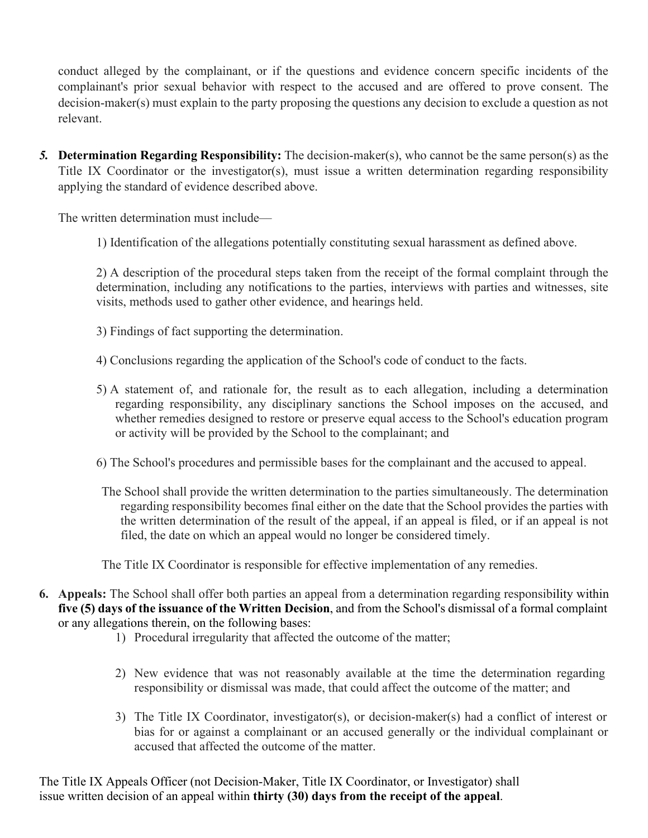conduct alleged by the complainant, or if the questions and evidence concern specific incidents of the complainant's prior sexual behavior with respect to the accused and are offered to prove consent. The decision-maker(s) must explain to the party proposing the questions any decision to exclude a question as not relevant.

*5.* **Determination Regarding Responsibility:** The decision-maker(s), who cannot be the same person(s) as the Title IX Coordinator or the investigator(s), must issue a written determination regarding responsibility applying the standard of evidence described above.

The written determination must include—

1) Identification of the allegations potentially constituting sexual harassment as defined above.

2) A description of the procedural steps taken from the receipt of the formal complaint through the determination, including any notifications to the parties, interviews with parties and witnesses, site visits, methods used to gather other evidence, and hearings held.

- 3) Findings of fact supporting the determination.
- 4) Conclusions regarding the application of the School's code of conduct to the facts.
- 5) A statement of, and rationale for, the result as to each allegation, including a determination regarding responsibility, any disciplinary sanctions the School imposes on the accused, and whether remedies designed to restore or preserve equal access to the School's education program or activity will be provided by the School to the complainant; and
- 6) The School's procedures and permissible bases for the complainant and the accused to appeal.
- The School shall provide the written determination to the parties simultaneously. The determination regarding responsibility becomes final either on the date that the School provides the parties with the written determination of the result of the appeal, if an appeal is filed, or if an appeal is not filed, the date on which an appeal would no longer be considered timely.

The Title IX Coordinator is responsible for effective implementation of any remedies.

- **6. Appeals:** The School shall offer both parties an appeal from a determination regarding responsibility within **five (5) days of the issuance of the Written Decision**, and from the School's dismissal of a formal complaint or any allegations therein, on the following bases:
	- 1) Procedural irregularity that affected the outcome of the matter;
	- 2) New evidence that was not reasonably available at the time the determination regarding responsibility or dismissal was made, that could affect the outcome of the matter; and
	- 3) The Title IX Coordinator, investigator(s), or decision-maker(s) had a conflict of interest or bias for or against a complainant or an accused generally or the individual complainant or accused that affected the outcome of the matter.

The Title IX Appeals Officer (not Decision-Maker, Title IX Coordinator, or Investigator) shall issue written decision of an appeal within **thirty (30) days from the receipt of the appeal**.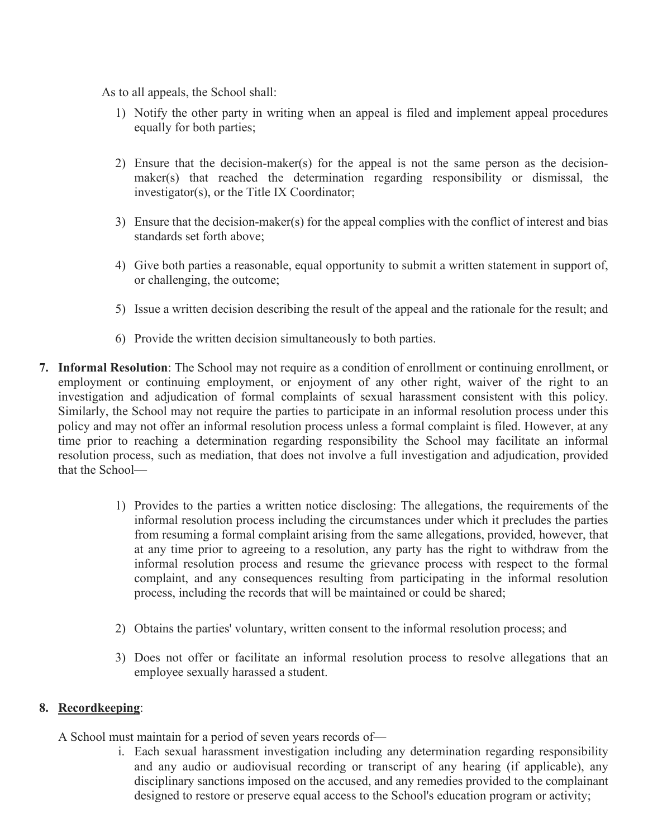As to all appeals, the School shall:

- 1) Notify the other party in writing when an appeal is filed and implement appeal procedures equally for both parties;
- 2) Ensure that the decision-maker(s) for the appeal is not the same person as the decisionmaker(s) that reached the determination regarding responsibility or dismissal, the investigator(s), or the Title IX Coordinator;
- 3) Ensure that the decision-maker(s) for the appeal complies with the conflict of interest and bias standards set forth above;
- 4) Give both parties a reasonable, equal opportunity to submit a written statement in support of, or challenging, the outcome;
- 5) Issue a written decision describing the result of the appeal and the rationale for the result; and
- 6) Provide the written decision simultaneously to both parties.
- **7. Informal Resolution**: The School may not require as a condition of enrollment or continuing enrollment, or employment or continuing employment, or enjoyment of any other right, waiver of the right to an investigation and adjudication of formal complaints of sexual harassment consistent with this policy. Similarly, the School may not require the parties to participate in an informal resolution process under this policy and may not offer an informal resolution process unless a formal complaint is filed. However, at any time prior to reaching a determination regarding responsibility the School may facilitate an informal resolution process, such as mediation, that does not involve a full investigation and adjudication, provided that the School—
	- 1) Provides to the parties a written notice disclosing: The allegations, the requirements of the informal resolution process including the circumstances under which it precludes the parties from resuming a formal complaint arising from the same allegations, provided, however, that at any time prior to agreeing to a resolution, any party has the right to withdraw from the informal resolution process and resume the grievance process with respect to the formal complaint, and any consequences resulting from participating in the informal resolution process, including the records that will be maintained or could be shared;
	- 2) Obtains the parties' voluntary, written consent to the informal resolution process; and
	- 3) Does not offer or facilitate an informal resolution process to resolve allegations that an employee sexually harassed a student.

## **8. Recordkeeping**:

- A School must maintain for a period of seven years records of
	- i. Each sexual harassment investigation including any determination regarding responsibility and any audio or audiovisual recording or transcript of any hearing (if applicable), any disciplinary sanctions imposed on the accused, and any remedies provided to the complainant designed to restore or preserve equal access to the School's education program or activity;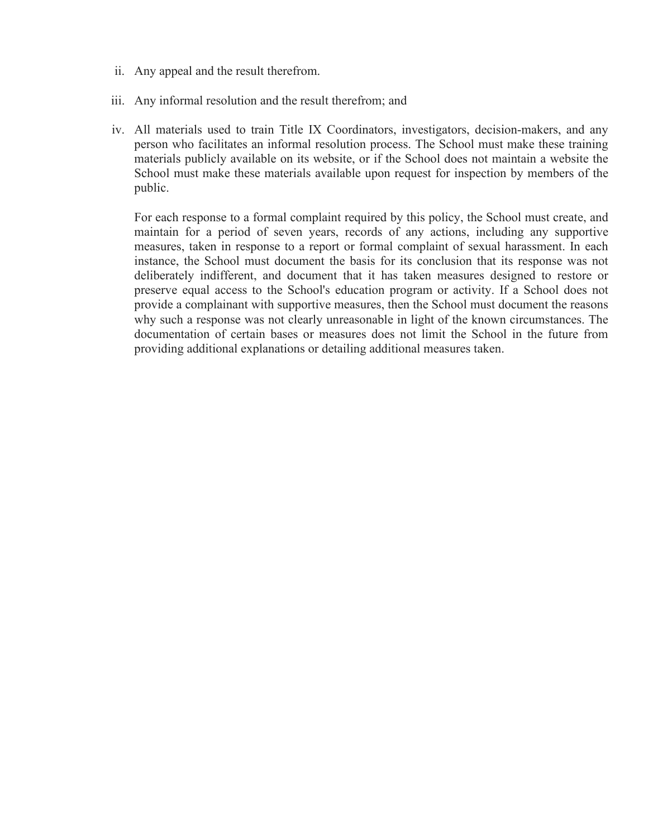- ii. Any appeal and the result therefrom.
- iii. Any informal resolution and the result therefrom; and
- iv. All materials used to train Title IX Coordinators, investigators, decision-makers, and any person who facilitates an informal resolution process. The School must make these training materials publicly available on its website, or if the School does not maintain a website the School must make these materials available upon request for inspection by members of the public.

For each response to a formal complaint required by this policy, the School must create, and maintain for a period of seven years, records of any actions, including any supportive measures, taken in response to a report or formal complaint of sexual harassment. In each instance, the School must document the basis for its conclusion that its response was not deliberately indifferent, and document that it has taken measures designed to restore or preserve equal access to the School's education program or activity. If a School does not provide a complainant with supportive measures, then the School must document the reasons why such a response was not clearly unreasonable in light of the known circumstances. The documentation of certain bases or measures does not limit the School in the future from providing additional explanations or detailing additional measures taken.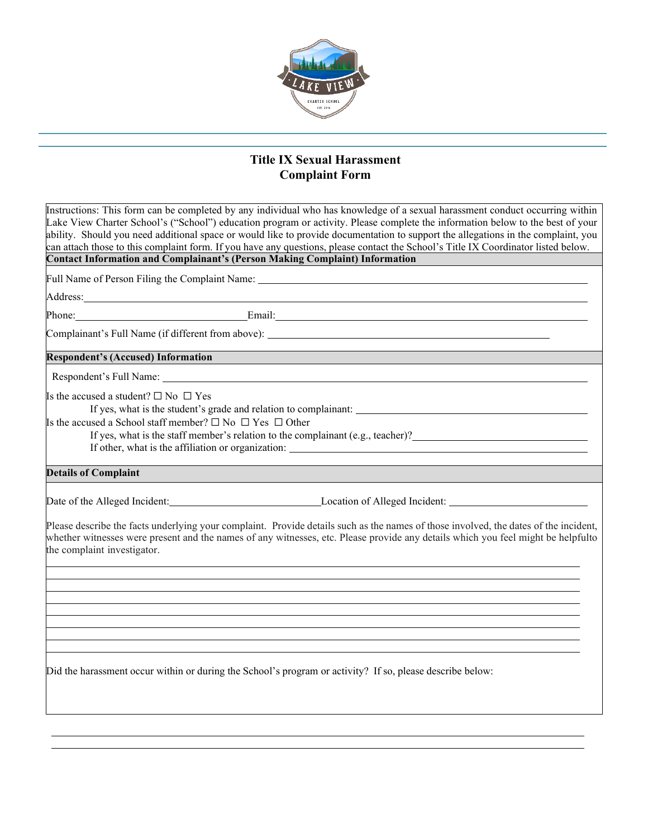

## **Title IX Sexual Harassment Complaint Form**

| Instructions: This form can be completed by any individual who has knowledge of a sexual harassment conduct occurring within<br>Lake View Charter School's ("School") education program or activity. Please complete the information below to the best of your<br>ability. Should you need additional space or would like to provide documentation to support the allegations in the complaint, you<br>can attach those to this complaint form. If you have any questions, please contact the School's Title IX Coordinator listed below.<br><b>Contact Information and Complainant's (Person Making Complaint) Information</b> |                                                                                                                                                                                                                                      |
|---------------------------------------------------------------------------------------------------------------------------------------------------------------------------------------------------------------------------------------------------------------------------------------------------------------------------------------------------------------------------------------------------------------------------------------------------------------------------------------------------------------------------------------------------------------------------------------------------------------------------------|--------------------------------------------------------------------------------------------------------------------------------------------------------------------------------------------------------------------------------------|
|                                                                                                                                                                                                                                                                                                                                                                                                                                                                                                                                                                                                                                 |                                                                                                                                                                                                                                      |
|                                                                                                                                                                                                                                                                                                                                                                                                                                                                                                                                                                                                                                 | Full Name of Person Filing the Complaint Name: __________________________________                                                                                                                                                    |
|                                                                                                                                                                                                                                                                                                                                                                                                                                                                                                                                                                                                                                 | Address: <u>The Community of the Community of the Community of the Community of the Community of the Community of the Community of the Community of the Community of the Community of the Community of the Community of the Comm</u> |
|                                                                                                                                                                                                                                                                                                                                                                                                                                                                                                                                                                                                                                 | Phone: Email: Email: Email: Email: Email: Email: Email: Email: Email: Email: Email: Email: Email: Email: Email: Email: Email: Email: Email: Email: Email: Email: Email: Email: Email: Email: Email: Email: Email: Email: Email       |
|                                                                                                                                                                                                                                                                                                                                                                                                                                                                                                                                                                                                                                 |                                                                                                                                                                                                                                      |
| <b>Respondent's (Accused) Information</b>                                                                                                                                                                                                                                                                                                                                                                                                                                                                                                                                                                                       |                                                                                                                                                                                                                                      |
|                                                                                                                                                                                                                                                                                                                                                                                                                                                                                                                                                                                                                                 |                                                                                                                                                                                                                                      |
| Is the accused a student? $\square$ $\mathop{\mathrm{No}}\nolimits$ $\square$ $\mathop{\mathrm{Yes}}\nolimits$<br>If yes, what is the student's grade and relation to complainant:<br>Is the accused a School staff member? $\square$ No $\square$ Yes $\square$ Other<br>If yes, what is the staff member's relation to the complainant $(e.g., teacher)$ ?                                                                                                                                                                                                                                                                    |                                                                                                                                                                                                                                      |
| <b>Details of Complaint</b>                                                                                                                                                                                                                                                                                                                                                                                                                                                                                                                                                                                                     |                                                                                                                                                                                                                                      |
|                                                                                                                                                                                                                                                                                                                                                                                                                                                                                                                                                                                                                                 | Date of the Alleged Incident: Location of Alleged Incident: Location of Alleged Incident:<br>Please describe the facts underlying your complaint. Provide details such as the names of those involved, the dates of the incident,    |
| whether witnesses were present and the names of any witnesses, etc. Please provide any details which you feel might be helpfulto<br>the complaint investigator.                                                                                                                                                                                                                                                                                                                                                                                                                                                                 |                                                                                                                                                                                                                                      |
|                                                                                                                                                                                                                                                                                                                                                                                                                                                                                                                                                                                                                                 |                                                                                                                                                                                                                                      |
|                                                                                                                                                                                                                                                                                                                                                                                                                                                                                                                                                                                                                                 |                                                                                                                                                                                                                                      |
| Did the harassment occur within or during the School's program or activity? If so, please describe below:                                                                                                                                                                                                                                                                                                                                                                                                                                                                                                                       |                                                                                                                                                                                                                                      |
|                                                                                                                                                                                                                                                                                                                                                                                                                                                                                                                                                                                                                                 |                                                                                                                                                                                                                                      |